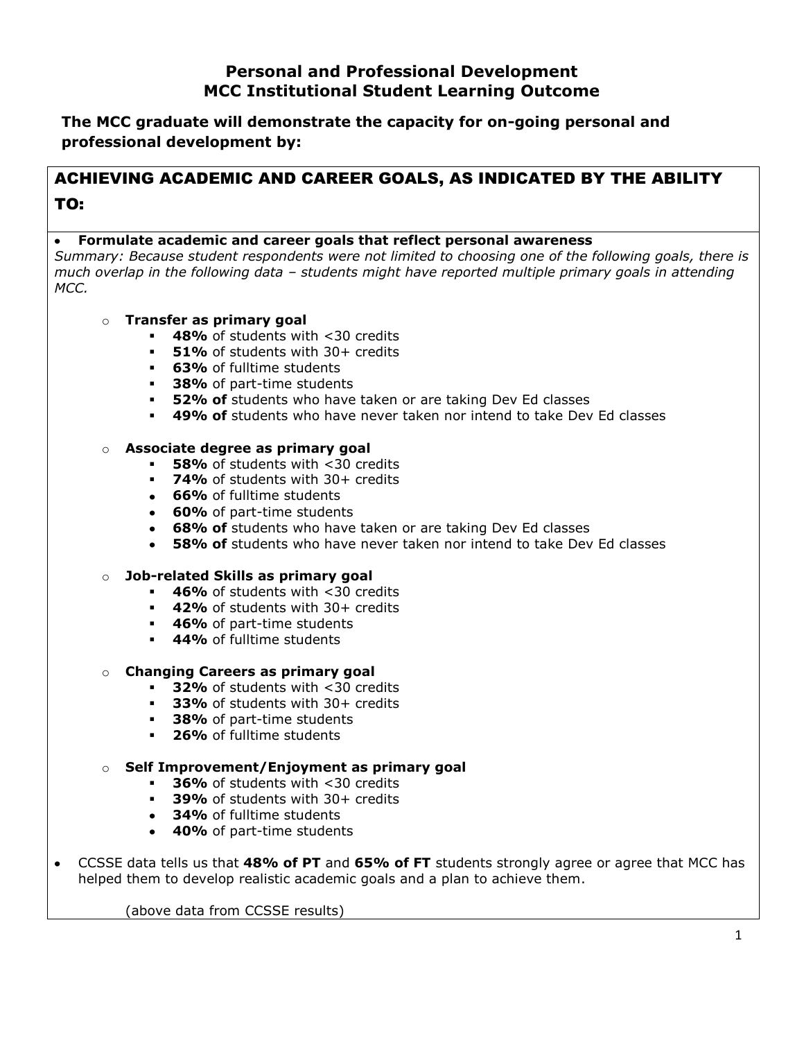# **Personal and Professional Development MCC Institutional Student Learning Outcome**

**The MCC graduate will demonstrate the capacity for on-going personal and professional development by:**

# ACHIEVING ACADEMIC AND CAREER GOALS, AS INDICATED BY THE ABILITY TO:

## **Formulate academic and career goals that reflect personal awareness**

*Summary: Because student respondents were not limited to choosing one of the following goals, there is much overlap in the following data – students might have reported multiple primary goals in attending MCC.*

# o **Transfer as primary goal**

- **48%** of students with <30 credits
- **51%** of students with 30+ credits
- **63%** of fulltime students
- **38%** of part-time students
- **52% of** students who have taken or are taking Dev Ed classes
- **49% of** students who have never taken nor intend to take Dev Ed classes

## o **Associate degree as primary goal**

- **58%** of students with <30 credits
- **74%** of students with 30+ credits
- **66%** of fulltime students
- **60%** of part-time students
- **68% of** students who have taken or are taking Dev Ed classes  $\bullet$
- **58% of** students who have never taken nor intend to take Dev Ed classes

#### o **Job-related Skills as primary goal**

- **46%** of students with <30 credits
- **42%** of students with 30+ credits
- **46%** of part-time students
- **44%** of fulltime students

#### o **Changing Careers as primary goal**

- **32%** of students with <30 credits
- **33%** of students with 30+ credits
- **38%** of part-time students
- **26%** of fulltime students

## o **Self Improvement/Enjoyment as primary goal**

- **36%** of students with <30 credits
- **39% of students with 30+ credits**
- **34%** of fulltime students
- **40%** of part-time students

CCSSE data tells us that **48% of PT** and **65% of FT** students strongly agree or agree that MCC has helped them to develop realistic academic goals and a plan to achieve them.

(above data from CCSSE results)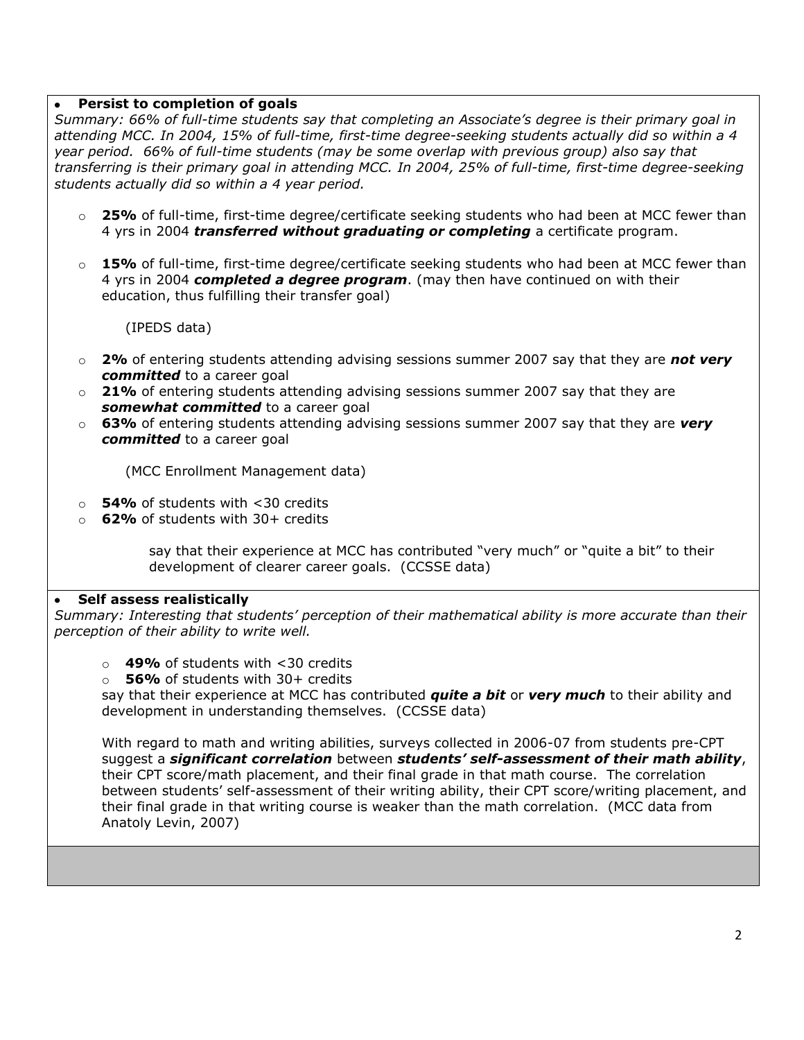#### **Persist to completion of goals**

*Summary: 66% of full-time students say that completing an Associate's degree is their primary goal in attending MCC. In 2004, 15% of full-time, first-time degree-seeking students actually did so within a 4 year period. 66% of full-time students (may be some overlap with previous group) also say that transferring is their primary goal in attending MCC. In 2004, 25% of full-time, first-time degree-seeking students actually did so within a 4 year period.* 

- o **25%** of full-time, first-time degree/certificate seeking students who had been at MCC fewer than 4 yrs in 2004 *transferred without graduating or completing* a certificate program.
- o **15%** of full-time, first-time degree/certificate seeking students who had been at MCC fewer than 4 yrs in 2004 *completed a degree program*. (may then have continued on with their education, thus fulfilling their transfer goal)

(IPEDS data)

- o **2%** of entering students attending advising sessions summer 2007 say that they are *not very committed* to a career goal
- o **21%** of entering students attending advising sessions summer 2007 say that they are *somewhat committed* to a career goal
- o **63%** of entering students attending advising sessions summer 2007 say that they are *very committed* to a career goal

(MCC Enrollment Management data)

- o **54%** of students with <30 credits
- o **62%** of students with 30+ credits

say that their experience at MCC has contributed "very much" or "quite a bit" to their development of clearer career goals. (CCSSE data)

#### **Self assess realistically**

*Summary: Interesting that students' perception of their mathematical ability is more accurate than their perception of their ability to write well.*

- o **49%** of students with <30 credits
- **56%** of students with 30+ credits

say that their experience at MCC has contributed *quite a bit* or *very much* to their ability and development in understanding themselves. (CCSSE data)

With regard to math and writing abilities, surveys collected in 2006-07 from students pre-CPT suggest a *significant correlation* between *students' self-assessment of their math ability*, their CPT score/math placement, and their final grade in that math course. The correlation between students' self-assessment of their writing ability, their CPT score/writing placement, and their final grade in that writing course is weaker than the math correlation. (MCC data from Anatoly Levin, 2007)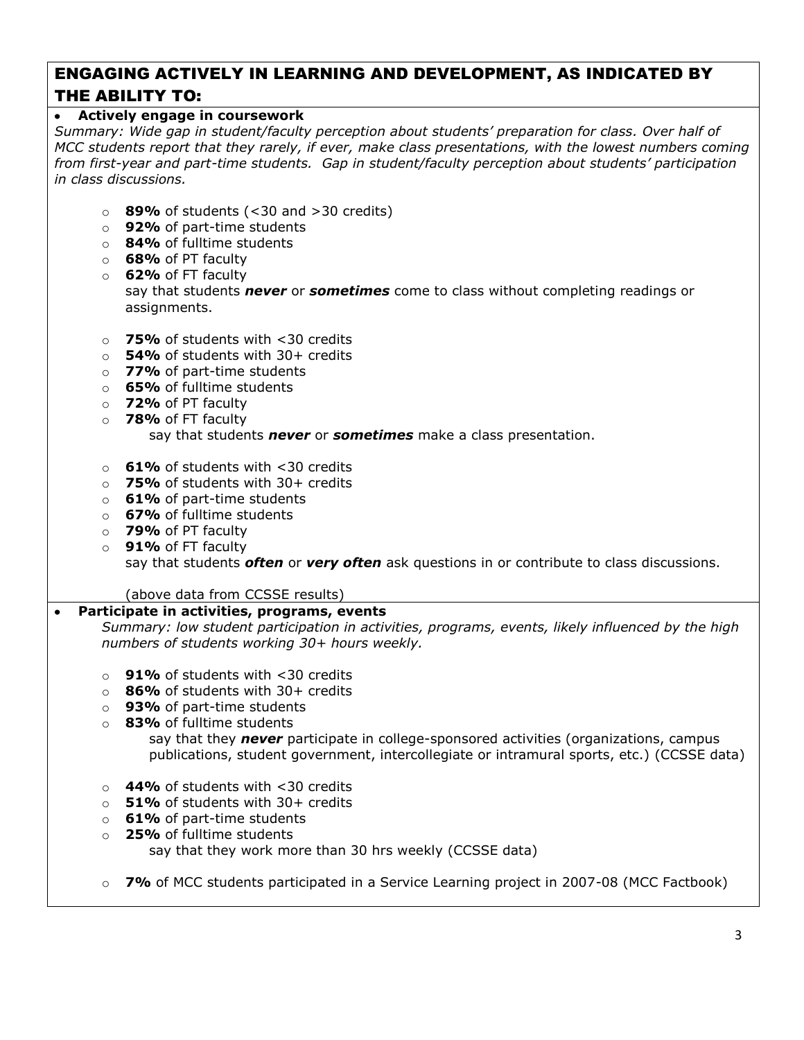# ENGAGING ACTIVELY IN LEARNING AND DEVELOPMENT, AS INDICATED BY THE ABILITY TO:

## **Actively engage in coursework**

*Summary: Wide gap in student/faculty perception about students' preparation for class. Over half of MCC students report that they rarely, if ever, make class presentations, with the lowest numbers coming from first-year and part-time students. Gap in student/faculty perception about students' participation in class discussions.*

- o **89%** of students (<30 and >30 credits)
- o **92%** of part-time students
- o **84%** of fulltime students
- o **68%** of PT faculty
- o **62%** of FT faculty say that students *never* or *sometimes* come to class without completing readings or assignments.
- o **75%** of students with <30 credits
- o **54%** of students with 30+ credits
- o **77%** of part-time students
- o **65%** of fulltime students
- o **72%** of PT faculty
- o **78%** of FT faculty

say that students *never* or *sometimes* make a class presentation.

- o **61%** of students with <30 credits
- o **75%** of students with 30+ credits
- o **61%** of part-time students
- o **67%** of fulltime students
- o **79%** of PT faculty
- o **91%** of FT faculty say that students *often* or *very often* ask questions in or contribute to class discussions.

(above data from CCSSE results)

## **Participate in activities, programs, events**

*Summary: low student participation in activities, programs, events, likely influenced by the high numbers of students working 30+ hours weekly.*

- o **91%** of students with <30 credits
- o **86%** of students with 30+ credits
- o **93%** of part-time students
- o **83%** of fulltime students say that they *never* participate in college-sponsored activities (organizations, campus
	- publications, student government, intercollegiate or intramural sports, etc.) (CCSSE data)
- o **44%** of students with <30 credits
- o **51%** of students with 30+ credits
- o **61%** of part-time students
- o **25%** of fulltime students say that they work more than 30 hrs weekly (CCSSE data)
- o **7%** of MCC students participated in a Service Learning project in 2007-08 (MCC Factbook)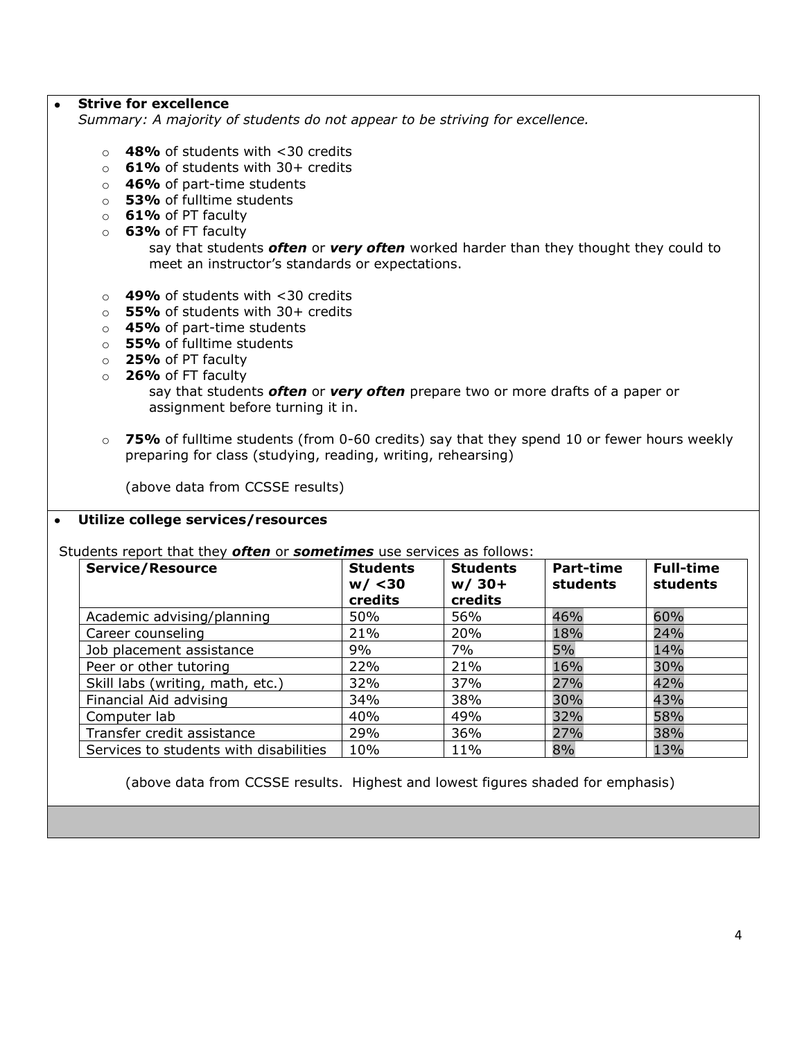#### **Strive for excellence**

*Summary: A majority of students do not appear to be striving for excellence.*

- o **48%** of students with <30 credits
- o **61%** of students with 30+ credits
- o **46%** of part-time students
- o **53%** of fulltime students
- o **61%** of PT faculty
- o **63%** of FT faculty

say that students *often* or *very often* worked harder than they thought they could to meet an instructor's standards or expectations.

- o **49%** of students with <30 credits
- o **55%** of students with 30+ credits
- o **45%** of part-time students
- o **55%** of fulltime students
- o **25%** of PT faculty
- o **26%** of FT faculty
	- say that students *often* or *very often* prepare two or more drafts of a paper or assignment before turning it in.
- o **75%** of fulltime students (from 0-60 credits) say that they spend 10 or fewer hours weekly preparing for class (studying, reading, writing, rehearsing)

(above data from CCSSE results)

#### **Utilize college services/resources**  $\bullet$

Students report that they *often* or *sometimes* use services as follows:

| <b>Service/Resource</b>                | <b>Students</b><br>w / < 30<br>credits | <b>Students</b><br>$w/30+$<br>credits | Part-time<br>students | <b>Full-time</b><br>students |
|----------------------------------------|----------------------------------------|---------------------------------------|-----------------------|------------------------------|
| Academic advising/planning             | 50%                                    | 56%                                   | 46%                   | 60%                          |
| Career counseling                      | 21%                                    | 20%                                   | 18%                   | 24%                          |
| Job placement assistance               | 9%                                     | 7%                                    | 5%                    | 14%                          |
| Peer or other tutoring                 | 22%                                    | 21%                                   | 16%                   | 30%                          |
| Skill labs (writing, math, etc.)       | 32%                                    | 37%                                   | 27%                   | 42%                          |
| Financial Aid advising                 | 34%                                    | 38%                                   | 30%                   | 43%                          |
| Computer lab                           | 40%                                    | 49%                                   | 32%                   | 58%                          |
| Transfer credit assistance             | 29%                                    | 36%                                   | 27%                   | 38%                          |
| Services to students with disabilities | 10%                                    | 11%                                   | 8%                    | 13%                          |

(above data from CCSSE results. Highest and lowest figures shaded for emphasis)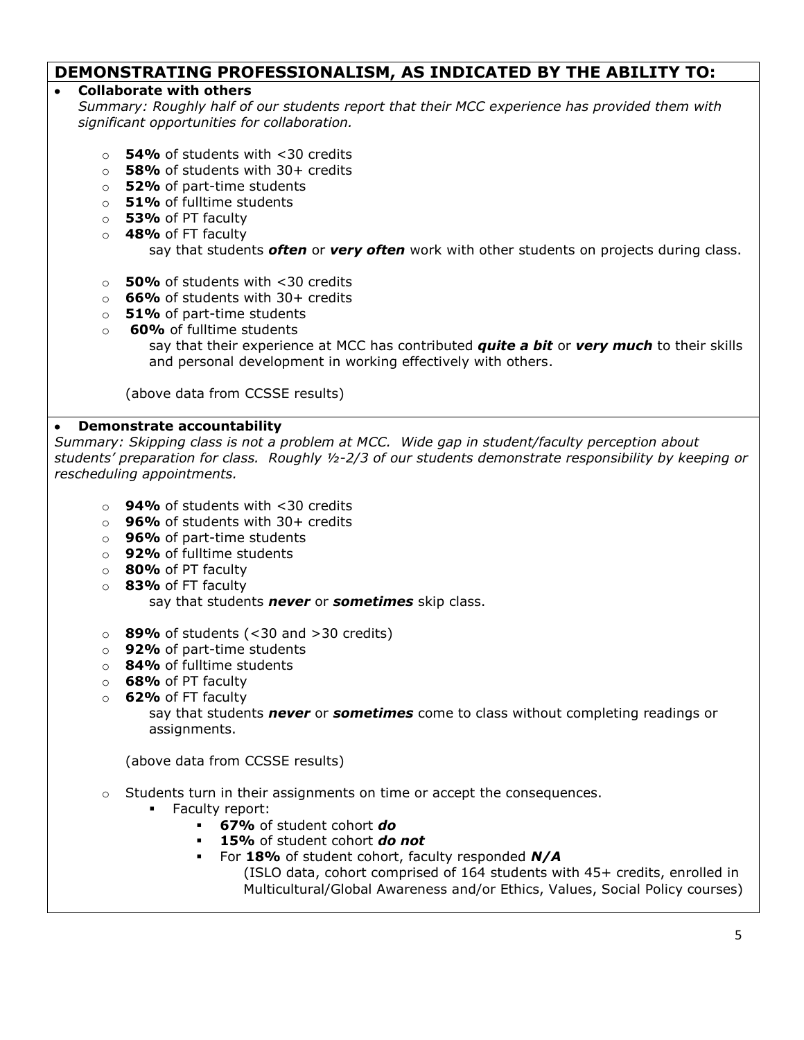# **DEMONSTRATING PROFESSIONALISM, AS INDICATED BY THE ABILITY TO:**

## **Collaborate with others**

*Summary: Roughly half of our students report that their MCC experience has provided them with significant opportunities for collaboration.* 

- o **54%** of students with <30 credits
- o **58%** of students with 30+ credits
- o **52%** of part-time students
- o **51%** of fulltime students
- o **53%** of PT faculty
- o **48%** of FT faculty

say that students *often* or *very often* work with other students on projects during class.

- o **50%** of students with <30 credits
- o **66%** of students with 30+ credits
- o **51%** of part-time students
- o **60%** of fulltime students say that their experience at MCC has contributed *quite a bit* or *very much* to their skills and personal development in working effectively with others.

(above data from CCSSE results)

# **Demonstrate accountability**

*Summary: Skipping class is not a problem at MCC. Wide gap in student/faculty perception about students' preparation for class. Roughly ½-2/3 of our students demonstrate responsibility by keeping or rescheduling appointments.*

- o **94%** of students with <30 credits
- o **96%** of students with 30+ credits
- o **96%** of part-time students
- o **92%** of fulltime students
- o **80%** of PT faculty
- o **83%** of FT faculty say that students *never* or *sometimes* skip class.
- o **89%** of students (<30 and >30 credits)
- o **92%** of part-time students
- o **84%** of fulltime students
- o **68%** of PT faculty
- o **62%** of FT faculty

say that students *never* or *sometimes* come to class without completing readings or assignments.

(above data from CCSSE results)

 $\circ$  Students turn in their assignments on time or accept the consequences.

- **Faculty report:** 
	- **67%** of student cohort *do*
	- **15%** of student cohort *do not*
	- For **18%** of student cohort, faculty responded *N/A*

(ISLO data, cohort comprised of 164 students with 45+ credits, enrolled in Multicultural/Global Awareness and/or Ethics, Values, Social Policy courses)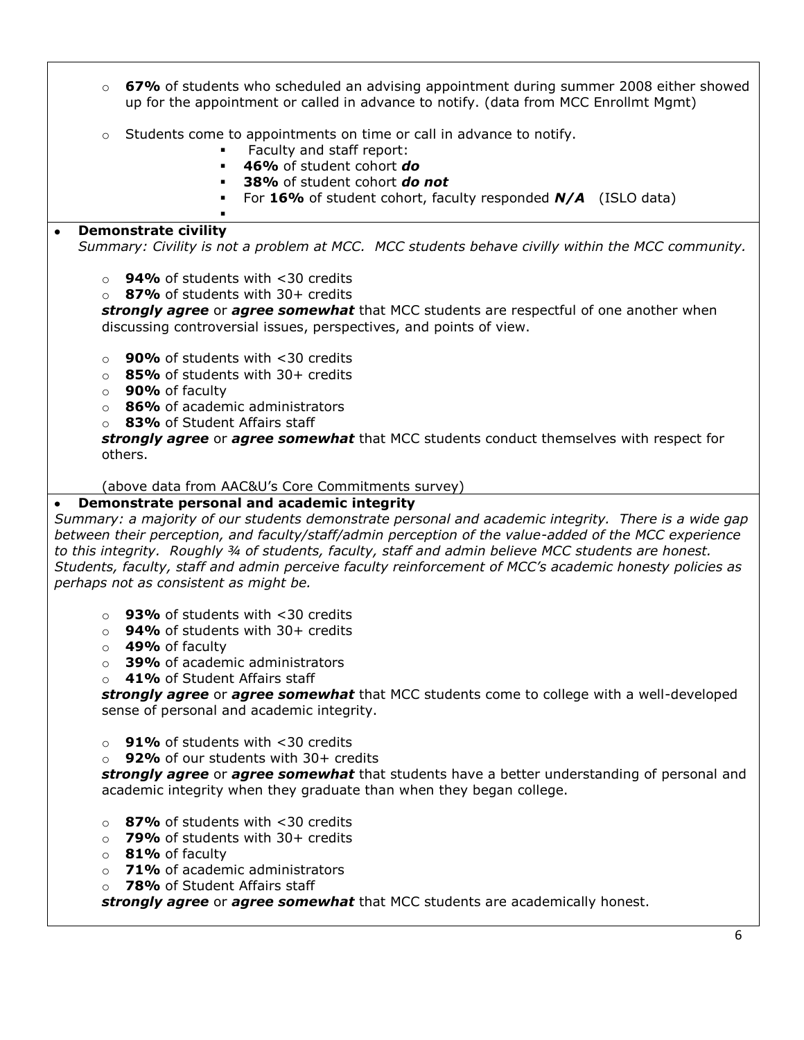- o **67%** of students who scheduled an advising appointment during summer 2008 either showed up for the appointment or called in advance to notify. (data from MCC Enrollmt Mgmt)
- $\circ$  Students come to appointments on time or call in advance to notify.
	- **Faculty and staff report:**
	- **46%** of student cohort *do*
	- **38%** of student cohort *do not*
	- For **16%** of student cohort, faculty responded *N/A* (ISLO data)

#### **Demonstrate civility**  $\bullet$

*Summary: Civility is not a problem at MCC. MCC students behave civilly within the MCC community.*

o **94%** of students with <30 credits

.

o **87%** of students with 30+ credits

*strongly agree* or *agree somewhat* that MCC students are respectful of one another when discussing controversial issues, perspectives, and points of view.

- o **90%** of students with <30 credits
- o **85%** of students with 30+ credits
- o **90%** of faculty
- o **86%** of academic administrators
- o **83%** of Student Affairs staff

*strongly agree* or *agree somewhat* that MCC students conduct themselves with respect for others.

#### (above data from AAC&U's Core Commitments survey)

#### **Demonstrate personal and academic integrity**

*Summary: a majority of our students demonstrate personal and academic integrity. There is a wide gap between their perception, and faculty/staff/admin perception of the value-added of the MCC experience to this integrity. Roughly ¾ of students, faculty, staff and admin believe MCC students are honest. Students, faculty, staff and admin perceive faculty reinforcement of MCC's academic honesty policies as perhaps not as consistent as might be.*

- o **93%** of students with <30 credits
- o **94%** of students with 30+ credits
- o **49%** of faculty
- o **39%** of academic administrators
- o **41%** of Student Affairs staff

*strongly agree* or *agree somewhat* that MCC students come to college with a well-developed sense of personal and academic integrity.

- o **91%** of students with <30 credits
- o **92%** of our students with 30+ credits

*strongly agree* or *agree somewhat* that students have a better understanding of personal and academic integrity when they graduate than when they began college.

- o **87%** of students with <30 credits
- o **79%** of students with 30+ credits
- o **81%** of faculty
- o **71%** of academic administrators
- o **78%** of Student Affairs staff

*strongly agree* or *agree somewhat* that MCC students are academically honest.